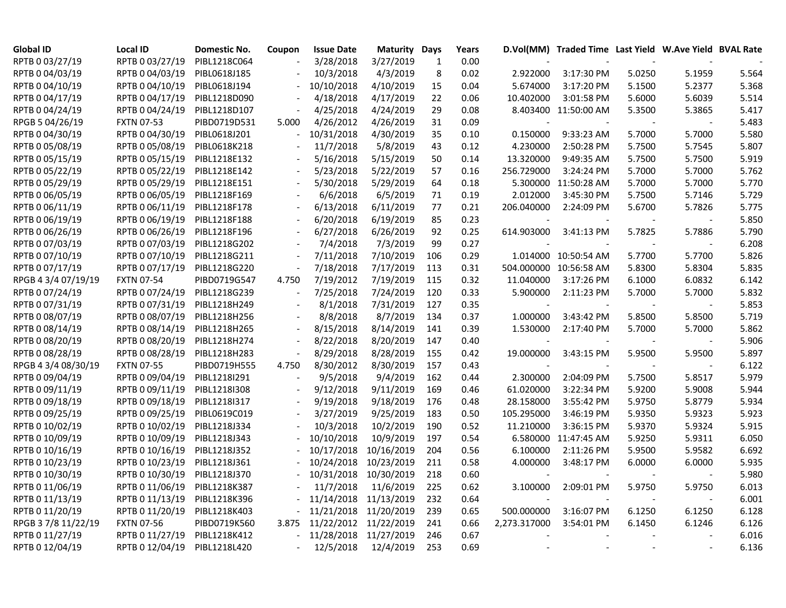| Global ID           | <b>Local ID</b>   | Domestic No. | Coupon                   | <b>Issue Date</b>     | <b>Maturity Days</b> |              | Years |              | D.Vol(MM) Traded Time Last Yield W.Ave Yield BVAL Rate |        |                          |       |
|---------------------|-------------------|--------------|--------------------------|-----------------------|----------------------|--------------|-------|--------------|--------------------------------------------------------|--------|--------------------------|-------|
| RPTB 0 03/27/19     | RPTB 0 03/27/19   | PIBL1218C064 |                          | 3/28/2018             | 3/27/2019            | $\mathbf{1}$ | 0.00  |              |                                                        |        |                          |       |
| RPTB 0 04/03/19     | RPTB 0 04/03/19   | PIBL0618J185 | $\overline{a}$           | 10/3/2018             | 4/3/2019             | 8            | 0.02  | 2.922000     | 3:17:30 PM                                             | 5.0250 | 5.1959                   | 5.564 |
| RPTB 0 04/10/19     | RPTB 0 04/10/19   | PIBL0618J194 | $\overline{\phantom{a}}$ | 10/10/2018            | 4/10/2019            | 15           | 0.04  | 5.674000     | 3:17:20 PM                                             | 5.1500 | 5.2377                   | 5.368 |
| RPTB 0 04/17/19     | RPTB 0 04/17/19   | PIBL1218D090 |                          | 4/18/2018             | 4/17/2019            | 22           | 0.06  | 10.402000    | 3:01:58 PM                                             | 5.6000 | 5.6039                   | 5.514 |
| RPTB 0 04/24/19     | RPTB 0 04/24/19   | PIBL1218D107 | $\overline{\phantom{a}}$ | 4/25/2018             | 4/24/2019            | 29           | 0.08  |              | 8.403400 11:50:00 AM                                   | 5.3500 | 5.3865                   | 5.417 |
| RPGB 5 04/26/19     | <b>FXTN 07-53</b> | PIBD0719D531 | 5.000                    | 4/26/2012             | 4/26/2019            | 31           | 0.09  |              | $\sim$                                                 |        | $\overline{\phantom{a}}$ | 5.483 |
| RPTB 0 04/30/19     | RPTB 0 04/30/19   | PIBL0618J201 |                          | 10/31/2018            | 4/30/2019            | 35           | 0.10  | 0.150000     | 9:33:23 AM                                             | 5.7000 | 5.7000                   | 5.580 |
| RPTB 0 05/08/19     | RPTB 0 05/08/19   | PIBL0618K218 |                          | 11/7/2018             | 5/8/2019             | 43           | 0.12  | 4.230000     | 2:50:28 PM                                             | 5.7500 | 5.7545                   | 5.807 |
| RPTB 0 05/15/19     | RPTB 0 05/15/19   | PIBL1218E132 |                          | 5/16/2018             | 5/15/2019            | 50           | 0.14  | 13.320000    | 9:49:35 AM                                             | 5.7500 | 5.7500                   | 5.919 |
| RPTB 0 05/22/19     | RPTB 0 05/22/19   | PIBL1218E142 |                          | 5/23/2018             | 5/22/2019            | 57           | 0.16  | 256.729000   | 3:24:24 PM                                             | 5.7000 | 5.7000                   | 5.762 |
| RPTB 0 05/29/19     | RPTB 0 05/29/19   | PIBL1218E151 | $\overline{\phantom{a}}$ | 5/30/2018             | 5/29/2019            | 64           | 0.18  | 5.300000     | 11:50:28 AM                                            | 5.7000 | 5.7000                   | 5.770 |
| RPTB 0 06/05/19     | RPTB 0 06/05/19   | PIBL1218F169 | $\overline{\phantom{a}}$ | 6/6/2018              | 6/5/2019             | 71           | 0.19  | 2.012000     | 3:45:30 PM                                             | 5.7500 | 5.7146                   | 5.729 |
| RPTB 0 06/11/19     | RPTB 0 06/11/19   | PIBL1218F178 | $\overline{\phantom{a}}$ | 6/13/2018             | 6/11/2019            | 77           | 0.21  | 206.040000   | 2:24:09 PM                                             | 5.6700 | 5.7826                   | 5.775 |
| RPTB 0 06/19/19     | RPTB 0 06/19/19   | PIBL1218F188 |                          | 6/20/2018             | 6/19/2019            | 85           | 0.23  |              |                                                        |        |                          | 5.850 |
| RPTB 0 06/26/19     | RPTB 0 06/26/19   | PIBL1218F196 | $\overline{\phantom{a}}$ | 6/27/2018             | 6/26/2019            | 92           | 0.25  | 614.903000   | 3:41:13 PM                                             | 5.7825 | 5.7886                   | 5.790 |
| RPTB 0 07/03/19     | RPTB 0 07/03/19   | PIBL1218G202 | $\overline{\phantom{a}}$ | 7/4/2018              | 7/3/2019             | 99           | 0.27  |              |                                                        |        |                          | 6.208 |
| RPTB 0 07/10/19     | RPTB 0 07/10/19   | PIBL1218G211 | $\overline{\phantom{a}}$ | 7/11/2018             | 7/10/2019            | 106          | 0.29  |              | 1.014000 10:50:54 AM                                   | 5.7700 | 5.7700                   | 5.826 |
| RPTB 0 07/17/19     | RPTB 0 07/17/19   | PIBL1218G220 | $\sim$                   | 7/18/2018             | 7/17/2019            | 113          | 0.31  |              | 504.000000 10:56:58 AM                                 | 5.8300 | 5.8304                   | 5.835 |
| RPGB 4 3/4 07/19/19 | <b>FXTN 07-54</b> | PIBD0719G547 | 4.750                    | 7/19/2012             | 7/19/2019            | 115          | 0.32  | 11.040000    | 3:17:26 PM                                             | 6.1000 | 6.0832                   | 6.142 |
| RPTB 0 07/24/19     | RPTB 0 07/24/19   | PIBL1218G239 | $\overline{\phantom{a}}$ | 7/25/2018             | 7/24/2019            | 120          | 0.33  | 5.900000     | 2:11:23 PM                                             | 5.7000 | 5.7000                   | 5.832 |
| RPTB 0 07/31/19     | RPTB 0 07/31/19   | PIBL1218H249 | $\overline{\phantom{a}}$ | 8/1/2018              | 7/31/2019            | 127          | 0.35  |              |                                                        |        |                          | 5.853 |
| RPTB 0 08/07/19     | RPTB 0 08/07/19   | PIBL1218H256 | $\overline{\phantom{a}}$ | 8/8/2018              | 8/7/2019             | 134          | 0.37  | 1.000000     | 3:43:42 PM                                             | 5.8500 | 5.8500                   | 5.719 |
| RPTB 0 08/14/19     | RPTB 0 08/14/19   | PIBL1218H265 | $\overline{\phantom{a}}$ | 8/15/2018             | 8/14/2019            | 141          | 0.39  | 1.530000     | 2:17:40 PM                                             | 5.7000 | 5.7000                   | 5.862 |
| RPTB 0 08/20/19     | RPTB 0 08/20/19   | PIBL1218H274 | $\overline{\phantom{a}}$ | 8/22/2018             | 8/20/2019            | 147          | 0.40  |              | $\blacksquare$                                         |        |                          | 5.906 |
| RPTB 0 08/28/19     | RPTB 0 08/28/19   | PIBL1218H283 | $\overline{\phantom{a}}$ | 8/29/2018             | 8/28/2019            | 155          | 0.42  | 19.000000    | 3:43:15 PM                                             | 5.9500 | 5.9500                   | 5.897 |
| RPGB 4 3/4 08/30/19 | <b>FXTN 07-55</b> | PIBD0719H555 | 4.750                    | 8/30/2012             | 8/30/2019            | 157          | 0.43  |              |                                                        |        |                          | 6.122 |
| RPTB 0 09/04/19     | RPTB 0 09/04/19   | PIBL1218I291 | $\sim$                   | 9/5/2018              | 9/4/2019             | 162          | 0.44  | 2.300000     | 2:04:09 PM                                             | 5.7500 | 5.8517                   | 5.979 |
| RPTB 0 09/11/19     | RPTB 0 09/11/19   | PIBL1218I308 | $\sim$                   | 9/12/2018             | 9/11/2019            | 169          | 0.46  | 61.020000    | 3:22:34 PM                                             | 5.9200 | 5.9008                   | 5.944 |
| RPTB 0 09/18/19     | RPTB 0 09/18/19   | PIBL1218I317 | $\overline{\phantom{a}}$ | 9/19/2018             | 9/18/2019            | 176          | 0.48  | 28.158000    | 3:55:42 PM                                             | 5.9750 | 5.8779                   | 5.934 |
| RPTB 0 09/25/19     | RPTB 0 09/25/19   | PIBL0619C019 | $\overline{\phantom{a}}$ | 3/27/2019             | 9/25/2019            | 183          | 0.50  | 105.295000   | 3:46:19 PM                                             | 5.9350 | 5.9323                   | 5.923 |
| RPTB 0 10/02/19     | RPTB 0 10/02/19   | PIBL1218J334 |                          | 10/3/2018             | 10/2/2019            | 190          | 0.52  | 11.210000    | 3:36:15 PM                                             | 5.9370 | 5.9324                   | 5.915 |
| RPTB 0 10/09/19     | RPTB 0 10/09/19   | PIBL1218J343 |                          | 10/10/2018            | 10/9/2019            | 197          | 0.54  | 6.580000     | 11:47:45 AM                                            | 5.9250 | 5.9311                   | 6.050 |
| RPTB 0 10/16/19     | RPTB 0 10/16/19   | PIBL1218J352 | $\overline{\phantom{a}}$ | 10/17/2018            | 10/16/2019           | 204          | 0.56  | 6.100000     | 2:11:26 PM                                             | 5.9500 | 5.9582                   | 6.692 |
| RPTB 0 10/23/19     | RPTB 0 10/23/19   | PIBL1218J361 | $\blacksquare$           | 10/24/2018            | 10/23/2019           | 211          | 0.58  | 4.000000     | 3:48:17 PM                                             | 6.0000 | 6.0000                   | 5.935 |
| RPTB 0 10/30/19     | RPTB 0 10/30/19   | PIBL1218J370 |                          | 10/31/2018 10/30/2019 |                      | 218          | 0.60  |              |                                                        |        |                          | 5.980 |
| RPTB 0 11/06/19     | RPTB 0 11/06/19   | PIBL1218K387 | $\overline{\phantom{a}}$ | 11/7/2018             | 11/6/2019            | 225          | 0.62  | 3.100000     | 2:09:01 PM                                             | 5.9750 | 5.9750                   | 6.013 |
| RPTB 0 11/13/19     | RPTB 0 11/13/19   | PIBL1218K396 |                          | 11/14/2018 11/13/2019 |                      | 232          | 0.64  |              | $\sim$                                                 |        | $\sim$                   | 6.001 |
| RPTB 0 11/20/19     | RPTB 0 11/20/19   | PIBL1218K403 |                          | 11/21/2018 11/20/2019 |                      | 239          | 0.65  | 500.000000   | 3:16:07 PM                                             | 6.1250 | 6.1250                   | 6.128 |
| RPGB 37/8 11/22/19  | <b>FXTN 07-56</b> | PIBD0719K560 | 3.875                    | 11/22/2012 11/22/2019 |                      | 241          | 0.66  | 2,273.317000 | 3:54:01 PM                                             | 6.1450 | 6.1246                   | 6.126 |
| RPTB 0 11/27/19     | RPTB 0 11/27/19   | PIBL1218K412 |                          | 11/28/2018 11/27/2019 |                      | 246          | 0.67  |              |                                                        |        |                          | 6.016 |
| RPTB 0 12/04/19     | RPTB 0 12/04/19   | PIBL1218L420 |                          | 12/5/2018             | 12/4/2019            | 253          | 0.69  |              |                                                        |        |                          | 6.136 |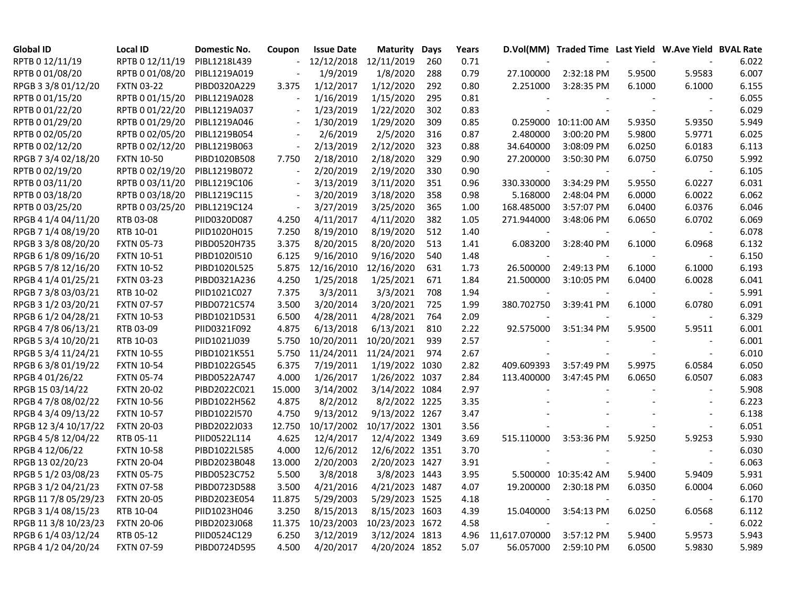| <b>Global ID</b>     | <b>Local ID</b>   | Domestic No. | Coupon                   | <b>Issue Date</b> | <b>Maturity</b> | Days | Years |                | D.Vol(MM) Traded Time Last Yield W.Ave Yield BVAL Rate |        |                |       |
|----------------------|-------------------|--------------|--------------------------|-------------------|-----------------|------|-------|----------------|--------------------------------------------------------|--------|----------------|-------|
| RPTB 0 12/11/19      | RPTB 0 12/11/19   | PIBL1218L439 |                          | 12/12/2018        | 12/11/2019      | 260  | 0.71  |                |                                                        |        | $\sim$         | 6.022 |
| RPTB 0 01/08/20      | RPTB 0 01/08/20   | PIBL1219A019 | $\overline{\phantom{a}}$ | 1/9/2019          | 1/8/2020        | 288  | 0.79  | 27.100000      | 2:32:18 PM                                             | 5.9500 | 5.9583         | 6.007 |
| RPGB 3 3/8 01/12/20  | <b>FXTN 03-22</b> | PIBD0320A229 | 3.375                    | 1/12/2017         | 1/12/2020       | 292  | 0.80  | 2.251000       | 3:28:35 PM                                             | 6.1000 | 6.1000         | 6.155 |
| RPTB 0 01/15/20      | RPTB 0 01/15/20   | PIBL1219A028 | $\overline{\phantom{a}}$ | 1/16/2019         | 1/15/2020       | 295  | 0.81  |                |                                                        |        |                | 6.055 |
| RPTB 0 01/22/20      | RPTB 0 01/22/20   | PIBL1219A037 | $\overline{a}$           | 1/23/2019         | 1/22/2020       | 302  | 0.83  |                | $\sim$                                                 |        | $\blacksquare$ | 6.029 |
| RPTB 0 01/29/20      | RPTB 0 01/29/20   | PIBL1219A046 | $\overline{\phantom{a}}$ | 1/30/2019         | 1/29/2020       | 309  | 0.85  |                | 0.259000 10:11:00 AM                                   | 5.9350 | 5.9350         | 5.949 |
| RPTB 0 02/05/20      | RPTB 0 02/05/20   | PIBL1219B054 |                          | 2/6/2019          | 2/5/2020        | 316  | 0.87  | 2.480000       | 3:00:20 PM                                             | 5.9800 | 5.9771         | 6.025 |
| RPTB 0 02/12/20      | RPTB 0 02/12/20   | PIBL1219B063 | $\overline{\phantom{a}}$ | 2/13/2019         | 2/12/2020       | 323  | 0.88  | 34.640000      | 3:08:09 PM                                             | 6.0250 | 6.0183         | 6.113 |
| RPGB 7 3/4 02/18/20  | <b>FXTN 10-50</b> | PIBD1020B508 | 7.750                    | 2/18/2010         | 2/18/2020       | 329  | 0.90  | 27.200000      | 3:50:30 PM                                             | 6.0750 | 6.0750         | 5.992 |
| RPTB 0 02/19/20      | RPTB 0 02/19/20   | PIBL1219B072 | $\overline{\phantom{a}}$ | 2/20/2019         | 2/19/2020       | 330  | 0.90  | $\blacksquare$ | $\sim$                                                 |        | $\blacksquare$ | 6.105 |
| RPTB 0 03/11/20      | RPTB 0 03/11/20   | PIBL1219C106 | $\overline{\phantom{a}}$ | 3/13/2019         | 3/11/2020       | 351  | 0.96  | 330.330000     | 3:34:29 PM                                             | 5.9550 | 6.0227         | 6.031 |
| RPTB 0 03/18/20      | RPTB 0 03/18/20   | PIBL1219C115 | $\overline{\phantom{a}}$ | 3/20/2019         | 3/18/2020       | 358  | 0.98  | 5.168000       | 2:48:04 PM                                             | 6.0000 | 6.0022         | 6.062 |
| RPTB 0 03/25/20      | RPTB 0 03/25/20   | PIBL1219C124 | $\overline{\phantom{a}}$ | 3/27/2019         | 3/25/2020       | 365  | 1.00  | 168.485000     | 3:57:07 PM                                             | 6.0400 | 6.0376         | 6.046 |
| RPGB 4 1/4 04/11/20  | RTB 03-08         | PIID0320D087 | 4.250                    | 4/11/2017         | 4/11/2020       | 382  | 1.05  | 271.944000     | 3:48:06 PM                                             | 6.0650 | 6.0702         | 6.069 |
| RPGB 7 1/4 08/19/20  | RTB 10-01         | PIID1020H015 | 7.250                    | 8/19/2010         | 8/19/2020       | 512  | 1.40  |                |                                                        |        |                | 6.078 |
| RPGB 3 3/8 08/20/20  | <b>FXTN 05-73</b> | PIBD0520H735 | 3.375                    | 8/20/2015         | 8/20/2020       | 513  | 1.41  | 6.083200       | 3:28:40 PM                                             | 6.1000 | 6.0968         | 6.132 |
| RPGB 6 1/8 09/16/20  | <b>FXTN 10-51</b> | PIBD1020I510 | 6.125                    | 9/16/2010         | 9/16/2020       | 540  | 1.48  |                |                                                        |        |                | 6.150 |
| RPGB 5 7/8 12/16/20  | <b>FXTN 10-52</b> | PIBD1020L525 | 5.875                    | 12/16/2010        | 12/16/2020      | 631  | 1.73  | 26.500000      | 2:49:13 PM                                             | 6.1000 | 6.1000         | 6.193 |
| RPGB 4 1/4 01/25/21  | <b>FXTN 03-23</b> | PIBD0321A236 | 4.250                    | 1/25/2018         | 1/25/2021       | 671  | 1.84  | 21.500000      | 3:10:05 PM                                             | 6.0400 | 6.0028         | 6.041 |
| RPGB 7 3/8 03/03/21  | RTB 10-02         | PIID1021C027 | 7.375                    | 3/3/2011          | 3/3/2021        | 708  | 1.94  |                |                                                        |        |                | 5.991 |
| RPGB 3 1/2 03/20/21  | <b>FXTN 07-57</b> | PIBD0721C574 | 3.500                    | 3/20/2014         | 3/20/2021       | 725  | 1.99  | 380.702750     | 3:39:41 PM                                             | 6.1000 | 6.0780         | 6.091 |
| RPGB 6 1/2 04/28/21  | <b>FXTN 10-53</b> | PIBD1021D531 | 6.500                    | 4/28/2011         | 4/28/2021       | 764  | 2.09  |                |                                                        |        |                | 6.329 |
| RPGB 4 7/8 06/13/21  | RTB 03-09         | PIID0321F092 | 4.875                    | 6/13/2018         | 6/13/2021       | 810  | 2.22  | 92.575000      | 3:51:34 PM                                             | 5.9500 | 5.9511         | 6.001 |
| RPGB 5 3/4 10/20/21  | RTB 10-03         | PIID1021J039 | 5.750                    | 10/20/2011        | 10/20/2021      | 939  | 2.57  |                |                                                        |        |                | 6.001 |
| RPGB 5 3/4 11/24/21  | <b>FXTN 10-55</b> | PIBD1021K551 | 5.750                    | 11/24/2011        | 11/24/2021      | 974  | 2.67  |                |                                                        |        | $\overline{a}$ | 6.010 |
| RPGB 63/801/19/22    | <b>FXTN 10-54</b> | PIBD1022G545 | 6.375                    | 7/19/2011         | 1/19/2022 1030  |      | 2.82  | 409.609393     | 3:57:49 PM                                             | 5.9975 | 6.0584         | 6.050 |
| RPGB 4 01/26/22      | <b>FXTN 05-74</b> | PIBD0522A747 | 4.000                    | 1/26/2017         | 1/26/2022 1037  |      | 2.84  | 113.400000     | 3:47:45 PM                                             | 6.0650 | 6.0507         | 6.083 |
| RPGB 15 03/14/22     | <b>FXTN 20-02</b> | PIBD2022C021 | 15.000                   | 3/14/2002         | 3/14/2022 1084  |      | 2.97  |                |                                                        |        |                | 5.908 |
| RPGB 4 7/8 08/02/22  | <b>FXTN 10-56</b> | PIBD1022H562 | 4.875                    | 8/2/2012          | 8/2/2022 1225   |      | 3.35  |                |                                                        |        |                | 6.223 |
| RPGB 4 3/4 09/13/22  | <b>FXTN 10-57</b> | PIBD1022I570 | 4.750                    | 9/13/2012         | 9/13/2022 1267  |      | 3.47  |                |                                                        |        |                | 6.138 |
| RPGB 12 3/4 10/17/22 | <b>FXTN 20-03</b> | PIBD2022J033 | 12.750                   | 10/17/2002        | 10/17/2022 1301 |      | 3.56  |                |                                                        |        | $\sim$         | 6.051 |
| RPGB 4 5/8 12/04/22  | RTB 05-11         | PIID0522L114 | 4.625                    | 12/4/2017         | 12/4/2022 1349  |      | 3.69  | 515.110000     | 3:53:36 PM                                             | 5.9250 | 5.9253         | 5.930 |
| RPGB 4 12/06/22      | <b>FXTN 10-58</b> | PIBD1022L585 | 4.000                    | 12/6/2012         | 12/6/2022 1351  |      | 3.70  |                |                                                        |        |                | 6.030 |
| RPGB 13 02/20/23     | <b>FXTN 20-04</b> | PIBD2023B048 | 13.000                   | 2/20/2003         | 2/20/2023 1427  |      | 3.91  |                |                                                        |        | $\blacksquare$ | 6.063 |
| RPGB 5 1/2 03/08/23  | <b>FXTN 05-75</b> | PIBD0523C752 | 5.500                    | 3/8/2018          | 3/8/2023 1443   |      | 3.95  |                | 5.500000 10:35:42 AM                                   | 5.9400 | 5.9409         | 5.931 |
| RPGB 3 1/2 04/21/23  | <b>FXTN 07-58</b> | PIBD0723D588 | 3.500                    | 4/21/2016         | 4/21/2023 1487  |      | 4.07  | 19.200000      | 2:30:18 PM                                             | 6.0350 | 6.0004         | 6.060 |
| RPGB 11 7/8 05/29/23 | <b>FXTN 20-05</b> | PIBD2023E054 | 11.875                   | 5/29/2003         | 5/29/2023 1525  |      | 4.18  |                |                                                        |        |                | 6.170 |
| RPGB 3 1/4 08/15/23  | RTB 10-04         | PIID1023H046 | 3.250                    | 8/15/2013         | 8/15/2023 1603  |      | 4.39  | 15.040000      | 3:54:13 PM                                             | 6.0250 | 6.0568         | 6.112 |
| RPGB 11 3/8 10/23/23 | <b>FXTN 20-06</b> | PIBD2023J068 | 11.375                   | 10/23/2003        | 10/23/2023 1672 |      | 4.58  |                | $\sim$                                                 |        |                | 6.022 |
| RPGB 6 1/4 03/12/24  | RTB 05-12         | PIID0524C129 | 6.250                    | 3/12/2019         | 3/12/2024 1813  |      | 4.96  | 11,617.070000  | 3:57:12 PM                                             | 5.9400 | 5.9573         | 5.943 |
| RPGB 4 1/2 04/20/24  | <b>FXTN 07-59</b> | PIBD0724D595 | 4.500                    | 4/20/2017         | 4/20/2024 1852  |      | 5.07  | 56.057000      | 2:59:10 PM                                             | 6.0500 | 5.9830         | 5.989 |